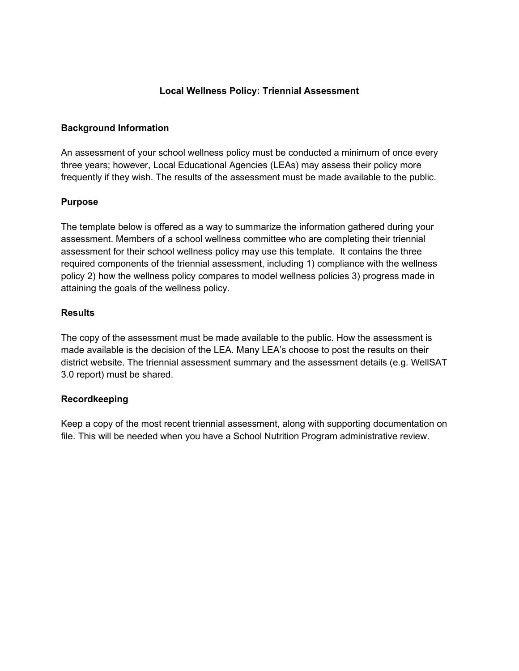## Local Wellness Policy: Triennial Assessment

### Background Information

An assessment of your school wellness policy must be conducted a minimum of once every three years; however, Local Educational Agencies (LEAs) may assess their policy more frequently if they wish. The results of the assessment must be made available to the public.

### Purpose

The template below is offered as a way to summarize the information gathered during your assessment. Members of a school wellness committee who are completing their triennial assessment for their school wellness policy may use this template. It contains the three required components of the triennial assessment, including 1) compliance with the wellness policy 2) how the wellness policy compares to model wellness policies 3) progress made in attaining the goals of the wellness policy.

### **Results**

The copy of the assessment must be made available to the public. How the assessment is made available is the decision of the LEA. Many LEA's choose to post the results on their district website. The triennial assessment summary and the assessment details (e.g. WellSAT 3.0 report) must be shared.

### Recordkeeping

Keep a copy of the most recent triennial assessment, along with supporting documentation on file. This will be needed when you have a School Nutrition Program administrative review.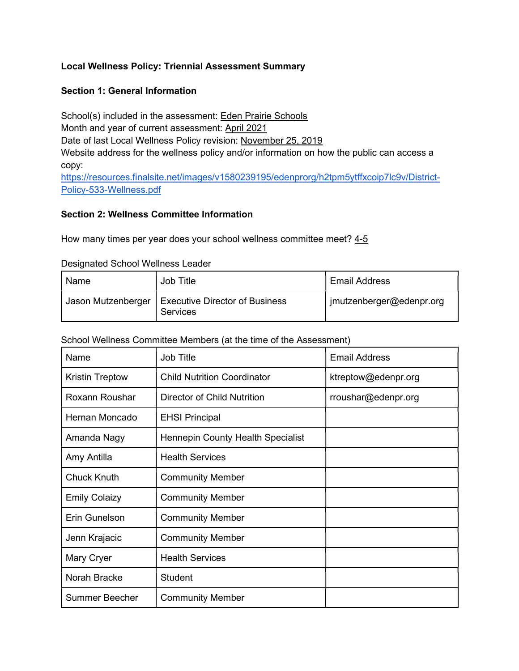# Local Wellness Policy: Triennial Assessment Summary

## Section 1: General Information

School(s) included in the assessment: Eden Prairie Schools Month and year of current assessment: April 2021 Date of last Local Wellness Policy revision: November 25, 2019 Website address for the wellness policy and/or information on how the public can access a copy: https://resources.finalsite.net/images/v1580239195/edenprorg/h2tpm5ytffxcoip7lc9v/District-Policy-533-Wellness.pdf

### Section 2: Wellness Committee Information

How many times per year does your school wellness committee meet? 4-5

#### Designated School Wellness Leader

| Name               | Job Title                                                | <b>Email Address</b>     |
|--------------------|----------------------------------------------------------|--------------------------|
| Jason Mutzenberger | <b>Executive Director of Business</b><br><b>Services</b> | jmutzenberger@edenpr.org |

#### School Wellness Committee Members (at the time of the Assessment)

| Name                   | <b>Job Title</b>                   | <b>Email Address</b> |
|------------------------|------------------------------------|----------------------|
| <b>Kristin Treptow</b> | <b>Child Nutrition Coordinator</b> | ktreptow@edenpr.org  |
| Roxann Roushar         | <b>Director of Child Nutrition</b> | rroushar@edenpr.org  |
| Hernan Moncado         | <b>EHSI Principal</b>              |                      |
| Amanda Nagy            | Hennepin County Health Specialist  |                      |
| Amy Antilla            | <b>Health Services</b>             |                      |
| <b>Chuck Knuth</b>     | <b>Community Member</b>            |                      |
| <b>Emily Colaizy</b>   | <b>Community Member</b>            |                      |
| Erin Gunelson          | <b>Community Member</b>            |                      |
| Jenn Krajacic          | <b>Community Member</b>            |                      |
| Mary Cryer             | <b>Health Services</b>             |                      |
| Norah Bracke           | <b>Student</b>                     |                      |
| <b>Summer Beecher</b>  | <b>Community Member</b>            |                      |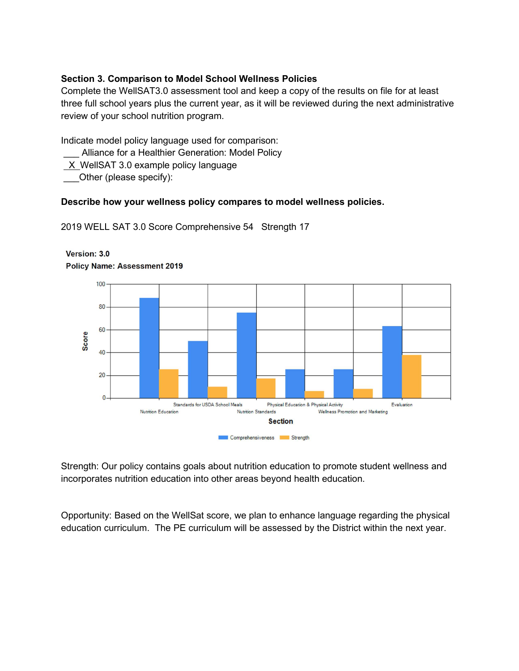# Section 3. Comparison to Model School Wellness Policies

Complete the WellSAT3.0 assessment tool and keep a copy of the results on file for at least three full school years plus the current year, as it will be reviewed during the next administrative review of your school nutrition program.

Indicate model policy language used for comparison:

- Alliance for a Healthier Generation: Model Policy
- $X$  WellSAT 3.0 example policy language

Other (please specify):

#### Describe how your wellness policy compares to model wellness policies.

2019 WELL SAT 3.0 Score Comprehensive 54 Strength 17



Version: 3.0

**Policy Name: Assessment 2019** 

Strength: Our policy contains goals about nutrition education to promote student wellness and incorporates nutrition education into other areas beyond health education.

Opportunity: Based on the WellSat score, we plan to enhance language regarding the physical education curriculum. The PE curriculum will be assessed by the District within the next year.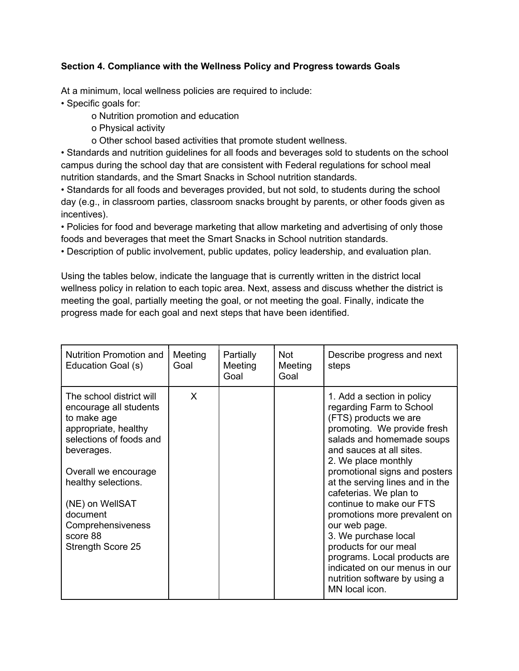# Section 4. Compliance with the Wellness Policy and Progress towards Goals

At a minimum, local wellness policies are required to include:

• Specific goals for:

o Nutrition promotion and education

- o Physical activity
- o Other school based activities that promote student wellness.

• Standards and nutrition guidelines for all foods and beverages sold to students on the school campus during the school day that are consistent with Federal regulations for school meal nutrition standards, and the Smart Snacks in School nutrition standards.

• Standards for all foods and beverages provided, but not sold, to students during the school day (e.g., in classroom parties, classroom snacks brought by parents, or other foods given as incentives).

• Policies for food and beverage marketing that allow marketing and advertising of only those foods and beverages that meet the Smart Snacks in School nutrition standards.

• Description of public involvement, public updates, policy leadership, and evaluation plan.

Using the tables below, indicate the language that is currently written in the district local wellness policy in relation to each topic area. Next, assess and discuss whether the district is meeting the goal, partially meeting the goal, or not meeting the goal. Finally, indicate the progress made for each goal and next steps that have been identified.

| Nutrition Promotion and<br>Education Goal (s)                                                                                                                                                                                                                          | Meeting<br>Goal | Partially<br>Meeting<br>Goal | Not<br>Meeting<br>Goal | Describe progress and next<br>steps                                                                                                                                                                                                                                                                                                                                                                                                                                                                                                            |
|------------------------------------------------------------------------------------------------------------------------------------------------------------------------------------------------------------------------------------------------------------------------|-----------------|------------------------------|------------------------|------------------------------------------------------------------------------------------------------------------------------------------------------------------------------------------------------------------------------------------------------------------------------------------------------------------------------------------------------------------------------------------------------------------------------------------------------------------------------------------------------------------------------------------------|
| The school district will<br>encourage all students<br>to make age<br>appropriate, healthy<br>selections of foods and<br>beverages.<br>Overall we encourage<br>healthy selections.<br>(NE) on WellSAT<br>document<br>Comprehensiveness<br>score 88<br>Strength Score 25 | X               |                              |                        | 1. Add a section in policy<br>regarding Farm to School<br>(FTS) products we are<br>promoting. We provide fresh<br>salads and homemade soups<br>and sauces at all sites.<br>2. We place monthly<br>promotional signs and posters<br>at the serving lines and in the<br>cafeterias. We plan to<br>continue to make our FTS<br>promotions more prevalent on<br>our web page.<br>3. We purchase local<br>products for our meal<br>programs. Local products are<br>indicated on our menus in our<br>nutrition software by using a<br>MN local icon. |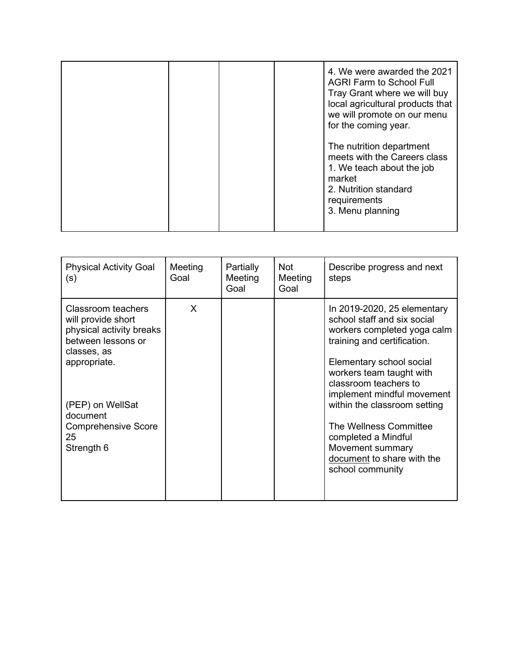|  |  | 4. We were awarded the 2021<br><b>AGRI Farm to School Full</b><br>Tray Grant where we will buy<br>local agricultural products that<br>we will promote on our menu<br>for the coming year. |
|--|--|-------------------------------------------------------------------------------------------------------------------------------------------------------------------------------------------|
|  |  | The nutrition department<br>meets with the Careers class<br>1. We teach about the job<br>market<br>2. Nutrition standard<br>requirements<br>3. Menu planning                              |

| <b>Physical Activity Goal</b><br>(s)                                                                                                                                                                        | Meeting<br>Goal | Partially<br>Meeting<br>Goal | <b>Not</b><br>Meeting<br>Goal | Describe progress and next<br>steps                                                                                                                                                                                                                                                                                                                                                            |
|-------------------------------------------------------------------------------------------------------------------------------------------------------------------------------------------------------------|-----------------|------------------------------|-------------------------------|------------------------------------------------------------------------------------------------------------------------------------------------------------------------------------------------------------------------------------------------------------------------------------------------------------------------------------------------------------------------------------------------|
| Classroom teachers<br>will provide short<br>physical activity breaks<br>between lessons or<br>classes, as<br>appropriate.<br>(PEP) on WellSat<br>document<br><b>Comprehensive Score</b><br>25<br>Strength 6 | X               |                              |                               | In 2019-2020, 25 elementary<br>school staff and six social<br>workers completed yoga calm<br>training and certification.<br>Elementary school social<br>workers team taught with<br>classroom teachers to<br>implement mindful movement<br>within the classroom setting<br>The Wellness Committee<br>completed a Mindful<br>Movement summary<br>document to share with the<br>school community |
|                                                                                                                                                                                                             |                 |                              |                               |                                                                                                                                                                                                                                                                                                                                                                                                |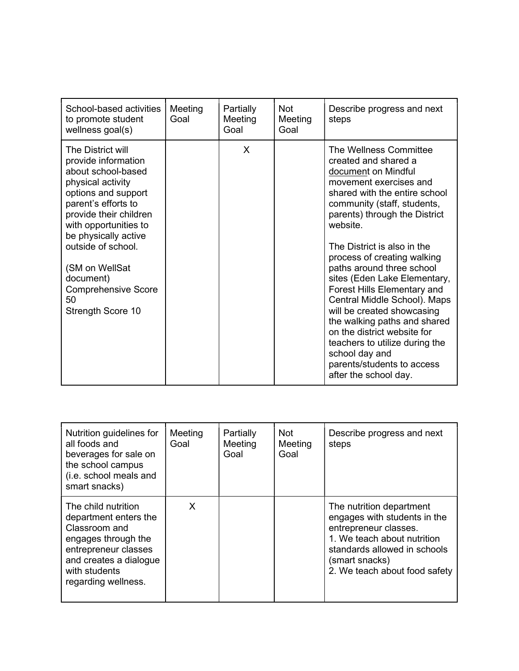| School-based activities<br>to promote student<br>wellness goal(s)                                                                                                                                                                                                                                                          | Meeting<br>Goal | Partially<br>Meeting<br>Goal | <b>Not</b><br>Meeting<br>Goal | Describe progress and next<br>steps                                                                                                                                                                                                                                                                                                                                                                                                                                                                                                                                                                                   |
|----------------------------------------------------------------------------------------------------------------------------------------------------------------------------------------------------------------------------------------------------------------------------------------------------------------------------|-----------------|------------------------------|-------------------------------|-----------------------------------------------------------------------------------------------------------------------------------------------------------------------------------------------------------------------------------------------------------------------------------------------------------------------------------------------------------------------------------------------------------------------------------------------------------------------------------------------------------------------------------------------------------------------------------------------------------------------|
| The District will<br>provide information<br>about school-based<br>physical activity<br>options and support<br>parent's efforts to<br>provide their children<br>with opportunities to<br>be physically active<br>outside of school.<br>(SM on WellSat<br>document)<br><b>Comprehensive Score</b><br>50<br>Strength Score 10 |                 | X                            |                               | The Wellness Committee<br>created and shared a<br>document on Mindful<br>movement exercises and<br>shared with the entire school<br>community (staff, students,<br>parents) through the District<br>website.<br>The District is also in the<br>process of creating walking<br>paths around three school<br>sites (Eden Lake Elementary,<br><b>Forest Hills Elementary and</b><br>Central Middle School). Maps<br>will be created showcasing<br>the walking paths and shared<br>on the district website for<br>teachers to utilize during the<br>school day and<br>parents/students to access<br>after the school day. |

| Nutrition guidelines for<br>all foods and<br>beverages for sale on<br>the school campus<br>(i.e. school meals and<br>smart snacks)                                             | Meeting<br>Goal | Partially<br>Meeting<br>Goal | <b>Not</b><br>Meeting<br>Goal | Describe progress and next<br>steps                                                                                                                                                                 |
|--------------------------------------------------------------------------------------------------------------------------------------------------------------------------------|-----------------|------------------------------|-------------------------------|-----------------------------------------------------------------------------------------------------------------------------------------------------------------------------------------------------|
| The child nutrition<br>department enters the<br>Classroom and<br>engages through the<br>entrepreneur classes<br>and creates a dialogue<br>with students<br>regarding wellness. | X               |                              |                               | The nutrition department<br>engages with students in the<br>entrepreneur classes.<br>1. We teach about nutrition<br>standards allowed in schools<br>(smart snacks)<br>2. We teach about food safety |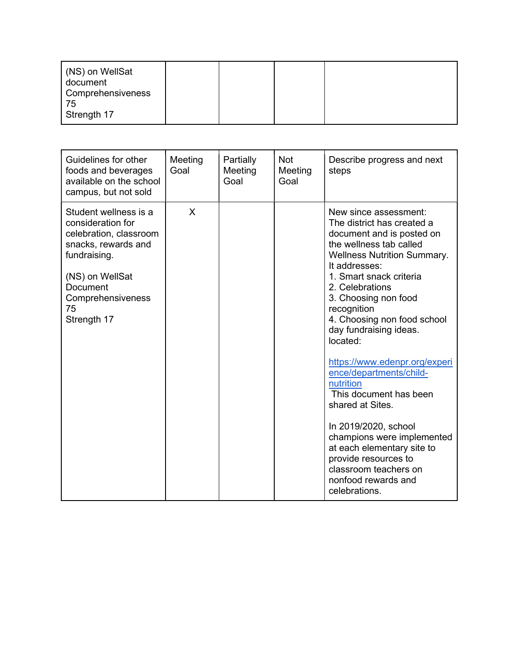| (NS) on WellSat<br>document<br><b>Comprehensiveness</b><br>-75<br>Strength 17 |  |  |  |
|-------------------------------------------------------------------------------|--|--|--|
|-------------------------------------------------------------------------------|--|--|--|

| Guidelines for other<br>foods and beverages<br>available on the school<br>campus, but not sold                                                                                       | Meeting<br>Goal | Partially<br>Meeting<br>Goal | <b>Not</b><br>Meeting<br>Goal | Describe progress and next<br>steps                                                                                                                                                                                                                                                                                                                                                                                                                                                                                                                                                                                              |
|--------------------------------------------------------------------------------------------------------------------------------------------------------------------------------------|-----------------|------------------------------|-------------------------------|----------------------------------------------------------------------------------------------------------------------------------------------------------------------------------------------------------------------------------------------------------------------------------------------------------------------------------------------------------------------------------------------------------------------------------------------------------------------------------------------------------------------------------------------------------------------------------------------------------------------------------|
| Student wellness is a<br>consideration for<br>celebration, classroom<br>snacks, rewards and<br>fundraising.<br>(NS) on WellSat<br>Document<br>Comprehensiveness<br>75<br>Strength 17 | X               |                              |                               | New since assessment:<br>The district has created a<br>document and is posted on<br>the wellness tab called<br><b>Wellness Nutrition Summary.</b><br>It addresses:<br>1. Smart snack criteria<br>2. Celebrations<br>3. Choosing non food<br>recognition<br>4. Choosing non food school<br>day fundraising ideas.<br>located:<br>https://www.edenpr.org/experi<br>ence/departments/child-<br>nutrition<br>This document has been<br>shared at Sites.<br>In 2019/2020, school<br>champions were implemented<br>at each elementary site to<br>provide resources to<br>classroom teachers on<br>nonfood rewards and<br>celebrations. |